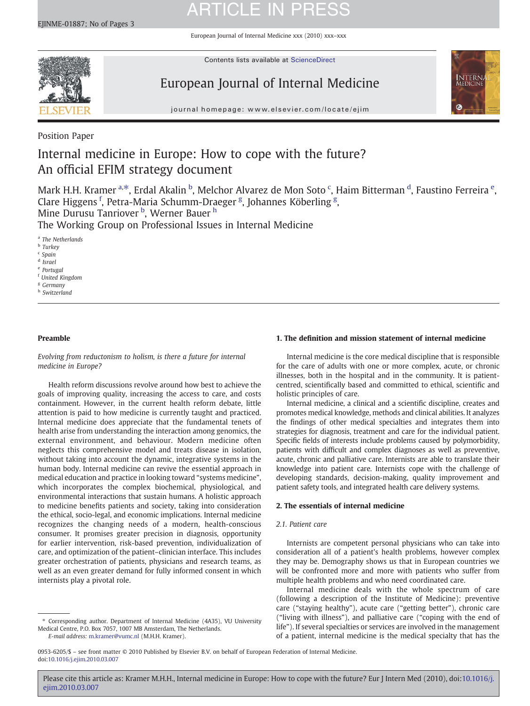# ARTICLE IN PRESS

European Journal of Internal Medicine xxx (2010) xxx–xxx



Contents lists available at ScienceDirect

### European Journal of Internal Medicine



journal homepage: www.elsevier.com/locate/ejim

Position Paper

### Internal medicine in Europe: How to cope with the future? An official EFIM strategy document

Mark H.H. Kramer <sup>a,\*</sup>, Erdal Akalin <sup>b</sup>, Melchor Alvarez de Mon Soto <sup>c</sup>, Haim Bitterman <sup>d</sup>, Faustino Ferreira <sup>e</sup>, Clare Higgens <sup>f</sup>, Petra-Maria Schumm-Draeger <sup>g</sup>, Johannes Köberling <sup>g</sup>, Mine Durusu Tanriover <sup>b</sup>, Werner Bauer <sup>h</sup>

The Working Group on Professional Issues in Internal Medicine

<sup>a</sup> The Netherlands

<sup>b</sup> Turkey

c Spain

<sup>d</sup> Israel

<sup>e</sup> Portugal

<sup>f</sup> United Kingdom <sup>g</sup> Germany

<sup>h</sup> Switzerland

#### Preamble

Evolving from reductonism to holism, is there a future for internal medicine in Europe?

Health reform discussions revolve around how best to achieve the goals of improving quality, increasing the access to care, and costs containment. However, in the current health reform debate, little attention is paid to how medicine is currently taught and practiced. Internal medicine does appreciate that the fundamental tenets of health arise from understanding the interaction among genomics, the external environment, and behaviour. Modern medicine often neglects this comprehensive model and treats disease in isolation, without taking into account the dynamic, integrative systems in the human body. Internal medicine can revive the essential approach in medical education and practice in looking toward "systems medicine", which incorporates the complex biochemical, physiological, and environmental interactions that sustain humans. A holistic approach to medicine benefits patients and society, taking into consideration the ethical, socio-legal, and economic implications. Internal medicine recognizes the changing needs of a modern, health-conscious consumer. It promises greater precision in diagnosis, opportunity for earlier intervention, risk-based prevention, individualization of care, and optimization of the patient–clinician interface. This includes greater orchestration of patients, physicians and research teams, as well as an even greater demand for fully informed consent in which internists play a pivotal role.

#### 1. The definition and mission statement of internal medicine

Internal medicine is the core medical discipline that is responsible for the care of adults with one or more complex, acute, or chronic illnesses, both in the hospital and in the community. It is patientcentred, scientifically based and committed to ethical, scientific and holistic principles of care.

Internal medicine, a clinical and a scientific discipline, creates and promotes medical knowledge, methods and clinical abilities. It analyzes the findings of other medical specialties and integrates them into strategies for diagnosis, treatment and care for the individual patient. Specific fields of interests include problems caused by polymorbidity, patients with difficult and complex diagnoses as well as preventive, acute, chronic and palliative care. Internists are able to translate their knowledge into patient care. Internists cope with the challenge of developing standards, decision-making, quality improvement and patient safety tools, and integrated health care delivery systems.

#### 2. The essentials of internal medicine

#### 2.1. Patient care

Internists are competent personal physicians who can take into consideration all of a patient's health problems, however complex they may be. Demography shows us that in European countries we will be confronted more and more with patients who suffer from multiple health problems and who need coordinated care.

Internal medicine deals with the whole spectrum of care (following a description of the Institute of Medicine): preventive care ("staying healthy"), acute care ("getting better"), chronic care ("living with illness"), and palliative care ("coping with the end of life"). If several specialties or services are involved in the management of a patient, internal medicine is the medical specialty that has the

<sup>⁎</sup> Corresponding author. Department of Internal Medicine (4A35), VU University Medical Centre, P.O. Box 7057, 1007 MB Amsterdam, The Netherlands. E-mail address: [m.kramer@vumc.nl](mailto:m.kramer@vumc.nl) (M.H.H. Kramer).

<sup>0953-6205/\$</sup> – see front matter © 2010 Published by Elsevier B.V. on behalf of European Federation of Internal Medicine. doi:[10.1016/j.ejim.2010.03.007](http://dx.doi.org/10.1016/j.ejim.2010.03.007)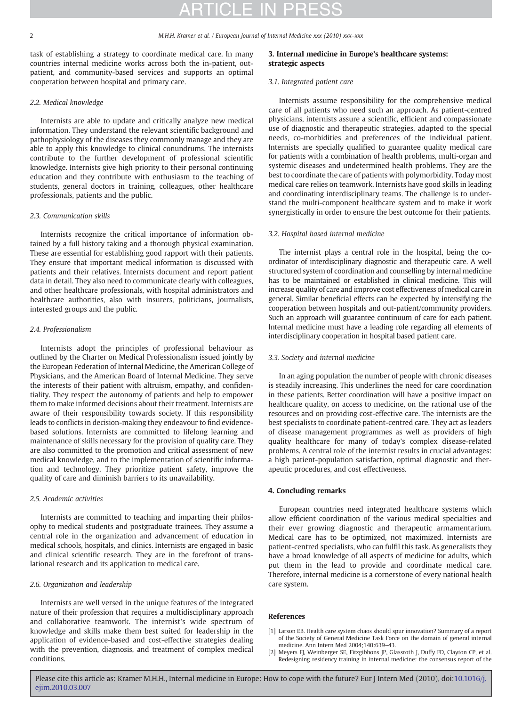# ARTICLE IN PRESS

task of establishing a strategy to coordinate medical care. In many countries internal medicine works across both the in-patient, outpatient, and community-based services and supports an optimal cooperation between hospital and primary care.

#### 2.2. Medical knowledge

Internists are able to update and critically analyze new medical information. They understand the relevant scientific background and pathophysiology of the diseases they commonly manage and they are able to apply this knowledge to clinical conundrums. The internists contribute to the further development of professional scientific knowledge. Internists give high priority to their personal continuing education and they contribute with enthusiasm to the teaching of students, general doctors in training, colleagues, other healthcare professionals, patients and the public.

#### 2.3. Communication skills

Internists recognize the critical importance of information obtained by a full history taking and a thorough physical examination. These are essential for establishing good rapport with their patients. They ensure that important medical information is discussed with patients and their relatives. Internists document and report patient data in detail. They also need to communicate clearly with colleagues, and other healthcare professionals, with hospital administrators and healthcare authorities, also with insurers, politicians, journalists, interested groups and the public.

#### 2.4. Professionalism

Internists adopt the principles of professional behaviour as outlined by the Charter on Medical Professionalism issued jointly by the European Federation of Internal Medicine, the American College of Physicians, and the American Board of Internal Medicine. They serve the interests of their patient with altruism, empathy, and confidentiality. They respect the autonomy of patients and help to empower them to make informed decisions about their treatment. Internists are aware of their responsibility towards society. If this responsibility leads to conflicts in decision-making they endeavour to find evidencebased solutions. Internists are committed to lifelong learning and maintenance of skills necessary for the provision of quality care. They are also committed to the promotion and critical assessment of new medical knowledge, and to the implementation of scientific information and technology. They prioritize patient safety, improve the quality of care and diminish barriers to its unavailability.

#### 2.5. Academic activities

Internists are committed to teaching and imparting their philosophy to medical students and postgraduate trainees. They assume a central role in the organization and advancement of education in medical schools, hospitals, and clinics. Internists are engaged in basic and clinical scientific research. They are in the forefront of translational research and its application to medical care.

#### 2.6. Organization and leadership

Internists are well versed in the unique features of the integrated nature of their profession that requires a multidisciplinary approach and collaborative teamwork. The internist's wide spectrum of knowledge and skills make them best suited for leadership in the application of evidence-based and cost-effective strategies dealing with the prevention, diagnosis, and treatment of complex medical conditions.

#### 3. Internal medicine in Europe's healthcare systems: strategic aspects

#### 3.1. Integrated patient care

Internists assume responsibility for the comprehensive medical care of all patients who need such an approach. As patient-centred physicians, internists assure a scientific, efficient and compassionate use of diagnostic and therapeutic strategies, adapted to the special needs, co-morbidities and preferences of the individual patient. Internists are specially qualified to guarantee quality medical care for patients with a combination of health problems, multi-organ and systemic diseases and undetermined health problems. They are the best to coordinate the care of patients with polymorbidity. Today most medical care relies on teamwork. Internists have good skills in leading and coordinating interdisciplinary teams. The challenge is to understand the multi-component healthcare system and to make it work synergistically in order to ensure the best outcome for their patients.

#### 3.2. Hospital based internal medicine

The internist plays a central role in the hospital, being the coordinator of interdisciplinary diagnostic and therapeutic care. A well structured system of coordination and counselling by internal medicine has to be maintained or established in clinical medicine. This will increase quality of care and improve cost effectiveness of medical care in general. Similar beneficial effects can be expected by intensifying the cooperation between hospitals and out-patient/community providers. Such an approach will guarantee continuum of care for each patient. Internal medicine must have a leading role regarding all elements of interdisciplinary cooperation in hospital based patient care.

#### 3.3. Society and internal medicine

In an aging population the number of people with chronic diseases is steadily increasing. This underlines the need for care coordination in these patients. Better coordination will have a positive impact on healthcare quality, on access to medicine, on the rational use of the resources and on providing cost-effective care. The internists are the best specialists to coordinate patient-centred care. They act as leaders of disease management programmes as well as providers of high quality healthcare for many of today's complex disease-related problems. A central role of the internist results in crucial advantages: a high patient-population satisfaction, optimal diagnostic and therapeutic procedures, and cost effectiveness.

#### 4. Concluding remarks

European countries need integrated healthcare systems which allow efficient coordination of the various medical specialties and their ever growing diagnostic and therapeutic armamentarium. Medical care has to be optimized, not maximized. Internists are patient-centred specialists, who can fulfil this task. As generalists they have a broad knowledge of all aspects of medicine for adults, which put them in the lead to provide and coordinate medical care. Therefore, internal medicine is a cornerstone of every national health care system.

### References

- [1] Larson EB. Health care system chaos should spur innovation? Summary of a report of the Society of General Medicine Task Force on the domain of general internal medicine. Ann Intern Med 2004;140:639–43.
- [2] Meyers FJ, Weinberger SE, Fitzgibbons JP, Glassroth J, Duffy FD, Clayton CP, et al. Redesigning residency training in internal medicine: the consensus report of the

Please cite this article as: Kramer M.H.H., Internal medicine in Europe: How to cope with the future? Eur J Intern Med (2010), doi:[10.1016/j.](http://dx.doi.org/10.1016/j.ejim.2010.03.007) [ejim.2010.03.007](http://dx.doi.org/10.1016/j.ejim.2010.03.007)